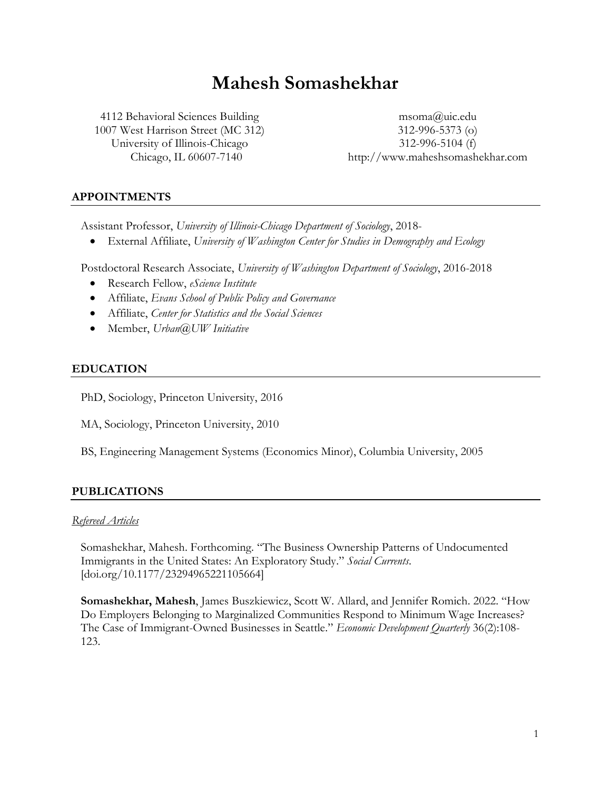# **Mahesh Somashekhar**

4112 Behavioral Sciences Building 1007 West Harrison Street (MC 312) University of Illinois-Chicago Chicago, IL 60607-7140

msoma@uic.edu 312-996-5373 (o) 312-996-5104 (f) http://www.maheshsomashekhar.com

# **APPOINTMENTS**

Assistant Professor, *University of Illinois-Chicago Department of Sociology*, 2018-

• External Affiliate, *University of Washington Center for Studies in Demography and Ecology*

Postdoctoral Research Associate, *University of Washington Department of Sociology*, 2016-2018

- Research Fellow, *eScience Institute*
- Affiliate, *Evans School of Public Policy and Governance*
- Affiliate, *Center for Statistics and the Social Sciences*
- Member, *Urban@UW Initiative*

# **EDUCATION**

PhD, Sociology, Princeton University, 2016

MA, Sociology, Princeton University, 2010

BS, Engineering Management Systems (Economics Minor), Columbia University, 2005

# **PUBLICATIONS**

## *Refereed Articles*

Somashekhar, Mahesh. Forthcoming. "The Business Ownership Patterns of Undocumented Immigrants in the United States: An Exploratory Study." *Social Currents*. [doi.org/10.1177/23294965221105664]

**Somashekhar, Mahesh**, James Buszkiewicz, Scott W. Allard, and Jennifer Romich. 2022. "How Do Employers Belonging to Marginalized Communities Respond to Minimum Wage Increases? The Case of Immigrant-Owned Businesses in Seattle." *Economic Development Quarterly* 36(2):108- 123.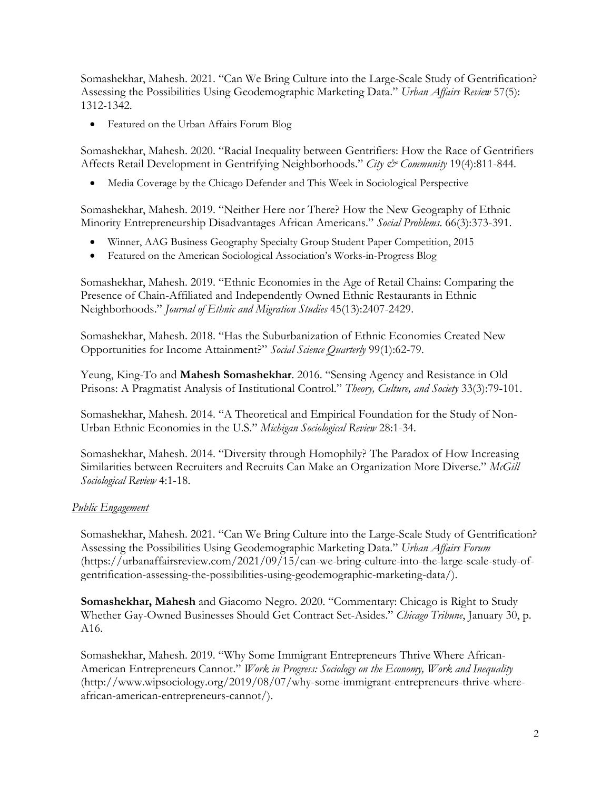Somashekhar, Mahesh. 2021. "Can We Bring Culture into the Large-Scale Study of Gentrification? Assessing the Possibilities Using Geodemographic Marketing Data." *Urban Affairs Review* 57(5): 1312-1342.

• Featured on the Urban Affairs Forum Blog

Somashekhar, Mahesh. 2020. "Racial Inequality between Gentrifiers: How the Race of Gentrifiers Affects Retail Development in Gentrifying Neighborhoods." *City & Community* 19(4):811-844.

• Media Coverage by the Chicago Defender and This Week in Sociological Perspective

Somashekhar, Mahesh. 2019. "Neither Here nor There? How the New Geography of Ethnic Minority Entrepreneurship Disadvantages African Americans." *Social Problems*. 66(3):373-391.

- Winner, AAG Business Geography Specialty Group Student Paper Competition, 2015
- Featured on the American Sociological Association's Works-in-Progress Blog

Somashekhar, Mahesh. 2019. "Ethnic Economies in the Age of Retail Chains: Comparing the Presence of Chain-Affiliated and Independently Owned Ethnic Restaurants in Ethnic Neighborhoods." *Journal of Ethnic and Migration Studies* 45(13):2407-2429.

Somashekhar, Mahesh. 2018. "Has the Suburbanization of Ethnic Economies Created New Opportunities for Income Attainment?" *Social Science Quarterly* 99(1):62-79.

Yeung, King-To and **Mahesh Somashekhar**. 2016. "Sensing Agency and Resistance in Old Prisons: A Pragmatist Analysis of Institutional Control." *Theory, Culture, and Society* 33(3):79-101.

Somashekhar, Mahesh. 2014. "A Theoretical and Empirical Foundation for the Study of Non-Urban Ethnic Economies in the U.S." *Michigan Sociological Review* 28:1-34.

Somashekhar, Mahesh. 2014. "Diversity through Homophily? The Paradox of How Increasing Similarities between Recruiters and Recruits Can Make an Organization More Diverse." *McGill Sociological Review* 4:1-18.

# *Public Engagement*

Somashekhar, Mahesh. 2021. "Can We Bring Culture into the Large-Scale Study of Gentrification? Assessing the Possibilities Using Geodemographic Marketing Data." *Urban Affairs Forum* (https://urbanaffairsreview.com/2021/09/15/can-we-bring-culture-into-the-large-scale-study-ofgentrification-assessing-the-possibilities-using-geodemographic-marketing-data/).

**Somashekhar, Mahesh** and Giacomo Negro. 2020. "Commentary: Chicago is Right to Study Whether Gay-Owned Businesses Should Get Contract Set-Asides." *Chicago Tribune*, January 30, p. A16.

Somashekhar, Mahesh. 2019. "Why Some Immigrant Entrepreneurs Thrive Where African-American Entrepreneurs Cannot." *Work in Progress: Sociology on the Economy, Work and Inequality* (http://www.wipsociology.org/2019/08/07/why-some-immigrant-entrepreneurs-thrive-whereafrican-american-entrepreneurs-cannot/).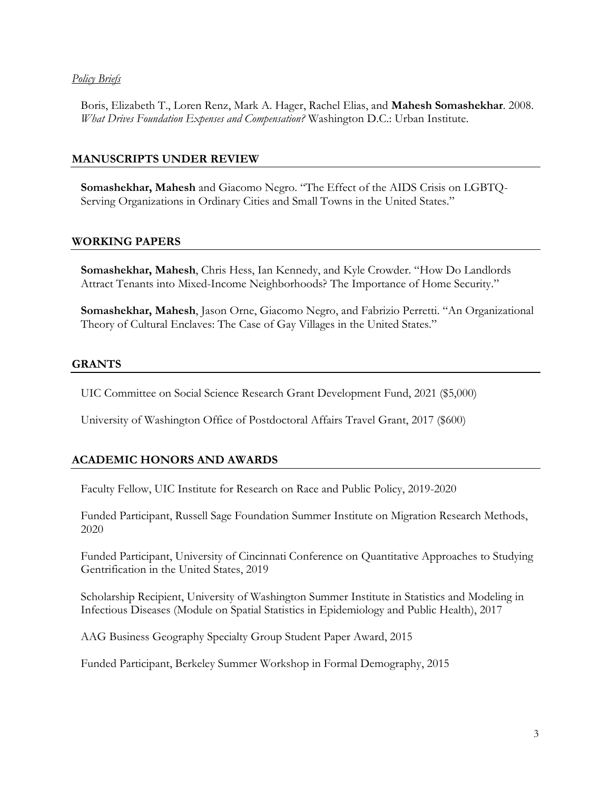## *Policy Briefs*

Boris, Elizabeth T., Loren Renz, Mark A. Hager, Rachel Elias, and **Mahesh Somashekhar**. 2008. *What Drives Foundation Expenses and Compensation?* Washington D.C.: Urban Institute.

# **MANUSCRIPTS UNDER REVIEW**

**Somashekhar, Mahesh** and Giacomo Negro. "The Effect of the AIDS Crisis on LGBTQ-Serving Organizations in Ordinary Cities and Small Towns in the United States."

## **WORKING PAPERS**

**Somashekhar, Mahesh**, Chris Hess, Ian Kennedy, and Kyle Crowder. "How Do Landlords Attract Tenants into Mixed-Income Neighborhoods? The Importance of Home Security."

**Somashekhar, Mahesh**, Jason Orne, Giacomo Negro, and Fabrizio Perretti. "An Organizational Theory of Cultural Enclaves: The Case of Gay Villages in the United States."

## **GRANTS**

UIC Committee on Social Science Research Grant Development Fund, 2021 (\$5,000)

University of Washington Office of Postdoctoral Affairs Travel Grant, 2017 (\$600)

# **ACADEMIC HONORS AND AWARDS**

Faculty Fellow, UIC Institute for Research on Race and Public Policy, 2019-2020

Funded Participant, Russell Sage Foundation Summer Institute on Migration Research Methods, 2020

Funded Participant, University of Cincinnati Conference on Quantitative Approaches to Studying Gentrification in the United States, 2019

Scholarship Recipient, University of Washington Summer Institute in Statistics and Modeling in Infectious Diseases (Module on Spatial Statistics in Epidemiology and Public Health), 2017

AAG Business Geography Specialty Group Student Paper Award, 2015

Funded Participant, Berkeley Summer Workshop in Formal Demography, 2015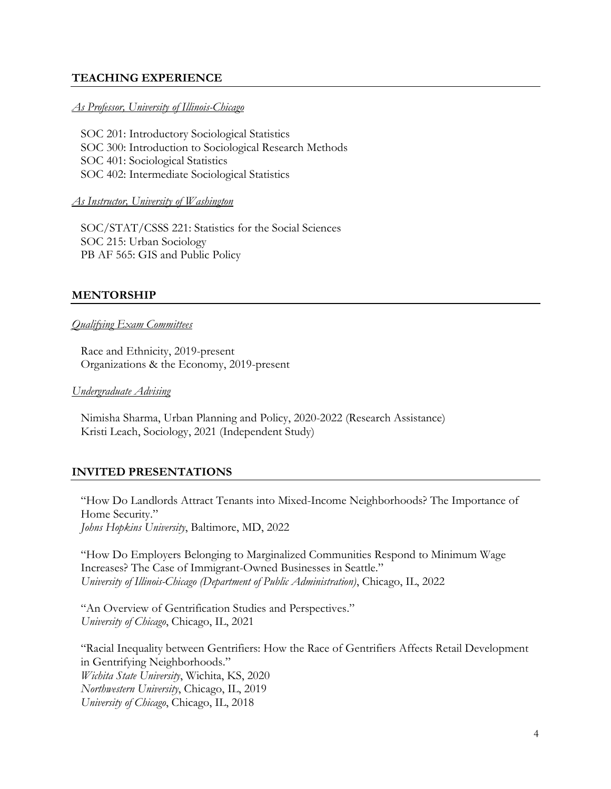## **TEACHING EXPERIENCE**

#### *As Professor, University of Illinois-Chicago*

SOC 201: Introductory Sociological Statistics SOC 300: Introduction to Sociological Research Methods SOC 401: Sociological Statistics SOC 402: Intermediate Sociological Statistics

#### *As Instructor, University of Washington*

SOC/STAT/CSSS 221: Statistics for the Social Sciences SOC 215: Urban Sociology PB AF 565: GIS and Public Policy

## **MENTORSHIP**

## *Qualifying Exam Committees*

Race and Ethnicity, 2019-present Organizations & the Economy, 2019-present

*Undergraduate Advising*

Nimisha Sharma, Urban Planning and Policy, 2020-2022 (Research Assistance) Kristi Leach, Sociology, 2021 (Independent Study)

## **INVITED PRESENTATIONS**

"How Do Landlords Attract Tenants into Mixed-Income Neighborhoods? The Importance of Home Security." *Johns Hopkins University*, Baltimore, MD, 2022

"How Do Employers Belonging to Marginalized Communities Respond to Minimum Wage Increases? The Case of Immigrant-Owned Businesses in Seattle." *University of Illinois-Chicago (Department of Public Administration)*, Chicago, IL, 2022

"An Overview of Gentrification Studies and Perspectives." *University of Chicago*, Chicago, IL, 2021

"Racial Inequality between Gentrifiers: How the Race of Gentrifiers Affects Retail Development in Gentrifying Neighborhoods." *Wichita State University*, Wichita, KS, 2020 *Northwestern University*, Chicago, IL, 2019 *University of Chicago*, Chicago, IL, 2018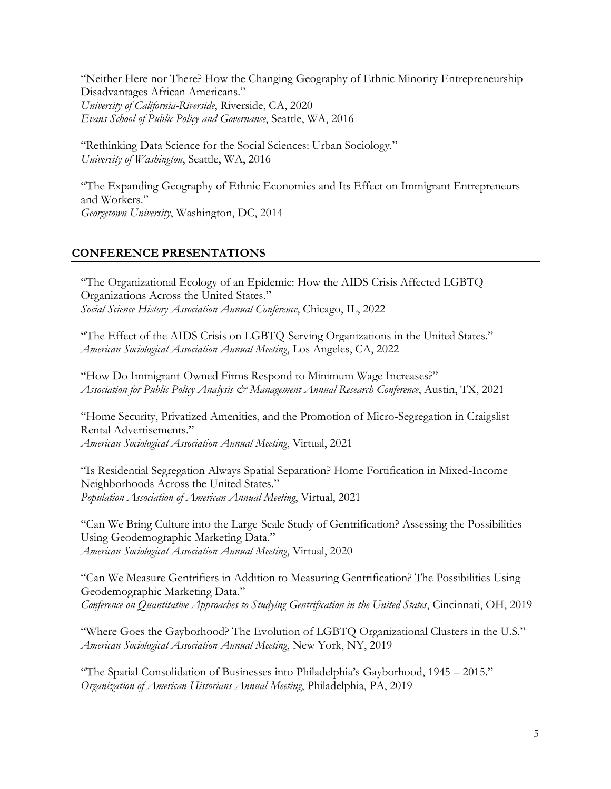"Neither Here nor There? How the Changing Geography of Ethnic Minority Entrepreneurship Disadvantages African Americans." *University of California-Riverside*, Riverside, CA, 2020 *Evans School of Public Policy and Governance*, Seattle, WA, 2016

"Rethinking Data Science for the Social Sciences: Urban Sociology." *University of Washington*, Seattle, WA, 2016

"The Expanding Geography of Ethnic Economies and Its Effect on Immigrant Entrepreneurs and Workers." *Georgetown University*, Washington, DC, 2014

# **CONFERENCE PRESENTATIONS**

"The Organizational Ecology of an Epidemic: How the AIDS Crisis Affected LGBTQ Organizations Across the United States." *Social Science History Association Annual Conference*, Chicago, IL, 2022

"The Effect of the AIDS Crisis on LGBTQ-Serving Organizations in the United States." *American Sociological Association Annual Meeting*, Los Angeles, CA, 2022

"How Do Immigrant-Owned Firms Respond to Minimum Wage Increases?" *Association for Public Policy Analysis & Management Annual Research Conference*, Austin, TX, 2021

"Home Security, Privatized Amenities, and the Promotion of Micro-Segregation in Craigslist Rental Advertisements." *American Sociological Association Annual Meeting*, Virtual, 2021

"Is Residential Segregation Always Spatial Separation? Home Fortification in Mixed-Income Neighborhoods Across the United States." *Population Association of American Annual Meeting*, Virtual, 2021

"Can We Bring Culture into the Large-Scale Study of Gentrification? Assessing the Possibilities Using Geodemographic Marketing Data." *American Sociological Association Annual Meeting*, Virtual, 2020

"Can We Measure Gentrifiers in Addition to Measuring Gentrification? The Possibilities Using Geodemographic Marketing Data." *Conference on Quantitative Approaches to Studying Gentrification in the United States*, Cincinnati, OH, 2019

"Where Goes the Gayborhood? The Evolution of LGBTQ Organizational Clusters in the U.S." *American Sociological Association Annual Meeting*, New York, NY, 2019

"The Spatial Consolidation of Businesses into Philadelphia's Gayborhood, 1945 – 2015." *Organization of American Historians Annual Meeting*, Philadelphia, PA, 2019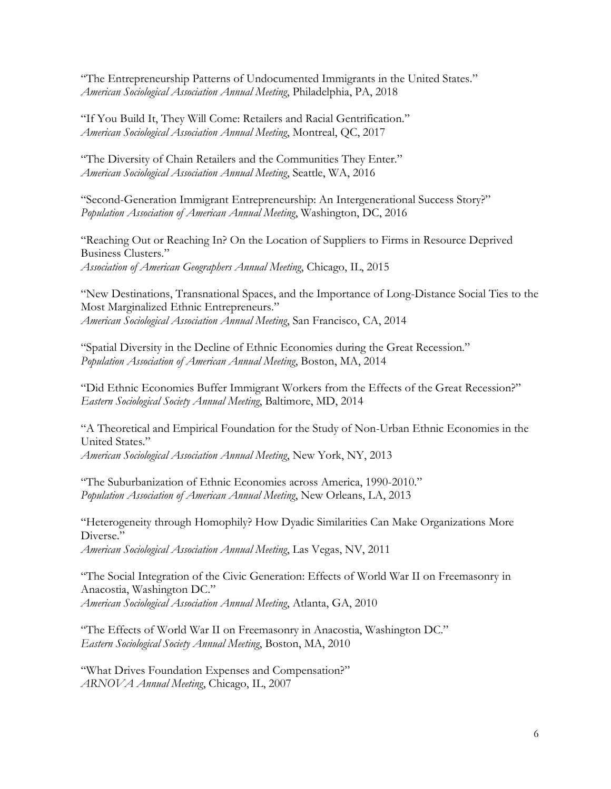"The Entrepreneurship Patterns of Undocumented Immigrants in the United States." *American Sociological Association Annual Meeting*, Philadelphia, PA, 2018

"If You Build It, They Will Come: Retailers and Racial Gentrification." *American Sociological Association Annual Meeting*, Montreal, QC, 2017

"The Diversity of Chain Retailers and the Communities They Enter." *American Sociological Association Annual Meeting*, Seattle, WA, 2016

"Second-Generation Immigrant Entrepreneurship: An Intergenerational Success Story?" *Population Association of American Annual Meeting*, Washington, DC, 2016

"Reaching Out or Reaching In? On the Location of Suppliers to Firms in Resource Deprived Business Clusters." *Association of American Geographers Annual Meeting*, Chicago, IL, 2015

"New Destinations, Transnational Spaces, and the Importance of Long-Distance Social Ties to the Most Marginalized Ethnic Entrepreneurs." *American Sociological Association Annual Meeting*, San Francisco, CA, 2014

"Spatial Diversity in the Decline of Ethnic Economies during the Great Recession." *Population Association of American Annual Meeting*, Boston, MA, 2014

"Did Ethnic Economies Buffer Immigrant Workers from the Effects of the Great Recession?" *Eastern Sociological Society Annual Meeting*, Baltimore, MD, 2014

"A Theoretical and Empirical Foundation for the Study of Non-Urban Ethnic Economies in the United States." *American Sociological Association Annual Meeting*, New York, NY, 2013

"The Suburbanization of Ethnic Economies across America, 1990-2010." *Population Association of American Annual Meeting*, New Orleans, LA, 2013

"Heterogeneity through Homophily? How Dyadic Similarities Can Make Organizations More Diverse."

*American Sociological Association Annual Meeting*, Las Vegas, NV, 2011

"The Social Integration of the Civic Generation: Effects of World War II on Freemasonry in Anacostia, Washington DC." *American Sociological Association Annual Meeting*, Atlanta, GA, 2010

"The Effects of World War II on Freemasonry in Anacostia, Washington DC." *Eastern Sociological Society Annual Meeting*, Boston, MA, 2010

"What Drives Foundation Expenses and Compensation?" *ARNOVA Annual Meeting*, Chicago, IL, 2007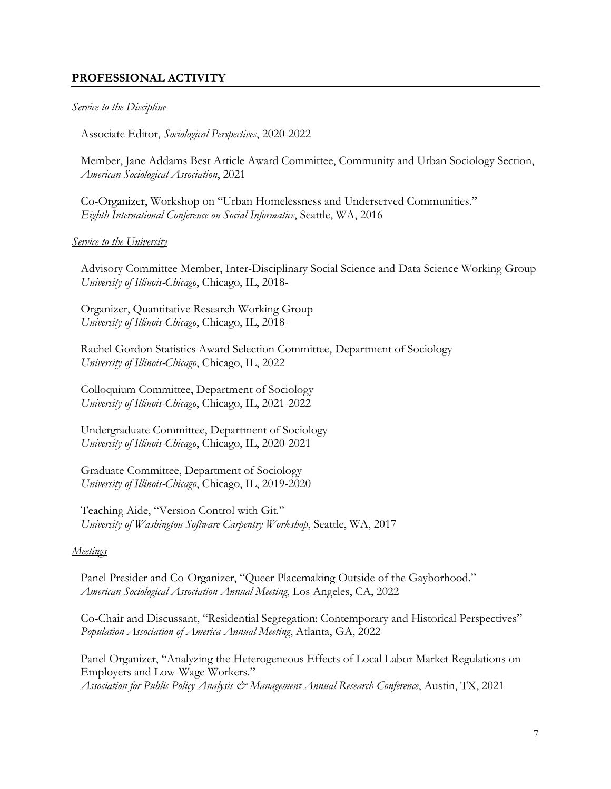# **PROFESSIONAL ACTIVITY**

#### *Service to the Discipline*

Associate Editor, *Sociological Perspectives*, 2020-2022

Member, Jane Addams Best Article Award Committee, Community and Urban Sociology Section, *American Sociological Association*, 2021

Co-Organizer, Workshop on "Urban Homelessness and Underserved Communities." *Eighth International Conference on Social Informatics*, Seattle, WA, 2016

#### *Service to the University*

Advisory Committee Member, Inter-Disciplinary Social Science and Data Science Working Group *University of Illinois-Chicago*, Chicago, IL, 2018-

Organizer, Quantitative Research Working Group *University of Illinois-Chicago*, Chicago, IL, 2018-

Rachel Gordon Statistics Award Selection Committee, Department of Sociology *University of Illinois-Chicago*, Chicago, IL, 2022

Colloquium Committee, Department of Sociology *University of Illinois-Chicago*, Chicago, IL, 2021-2022

Undergraduate Committee, Department of Sociology *University of Illinois-Chicago*, Chicago, IL, 2020-2021

Graduate Committee, Department of Sociology *University of Illinois-Chicago*, Chicago, IL, 2019-2020

Teaching Aide, "Version Control with Git." *University of Washington Software Carpentry Workshop*, Seattle, WA, 2017

#### *Meetings*

Panel Presider and Co-Organizer, "Queer Placemaking Outside of the Gayborhood." *American Sociological Association Annual Meeting*, Los Angeles, CA, 2022

Co-Chair and Discussant, "Residential Segregation: Contemporary and Historical Perspectives" *Population Association of America Annual Meeting*, Atlanta, GA, 2022

Panel Organizer, "Analyzing the Heterogeneous Effects of Local Labor Market Regulations on Employers and Low-Wage Workers." *Association for Public Policy Analysis & Management Annual Research Conference*, Austin, TX, 2021